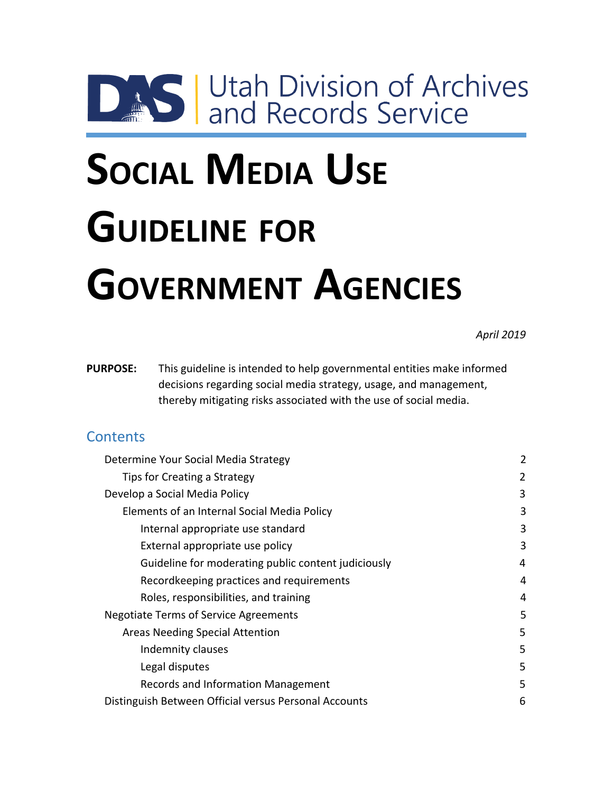# **DAS Utah Division of Archives**

# **SOCIAL MEDIA USE GUIDELINE FOR GOVERNMENT AGENCIES**

*April 2019*

**PURPOSE:** This guideline is intended to help governmental entities make informed decisions regarding social media strategy, usage, and management, thereby mitigating risks associated with the use of social media.

## **Contents**

| Determine Your Social Media Strategy                  | $\overline{2}$ |
|-------------------------------------------------------|----------------|
| Tips for Creating a Strategy                          | 2              |
| Develop a Social Media Policy                         | 3              |
| Elements of an Internal Social Media Policy           | 3              |
| Internal appropriate use standard                     | 3              |
| External appropriate use policy                       | 3              |
| Guideline for moderating public content judiciously   | 4              |
| Recordkeeping practices and requirements              | 4              |
| Roles, responsibilities, and training                 | 4              |
| Negotiate Terms of Service Agreements                 | 5              |
| Areas Needing Special Attention                       | 5              |
| Indemnity clauses                                     | 5.             |
| Legal disputes                                        | 5              |
| Records and Information Management                    | 5              |
| Distinguish Between Official versus Personal Accounts | 6              |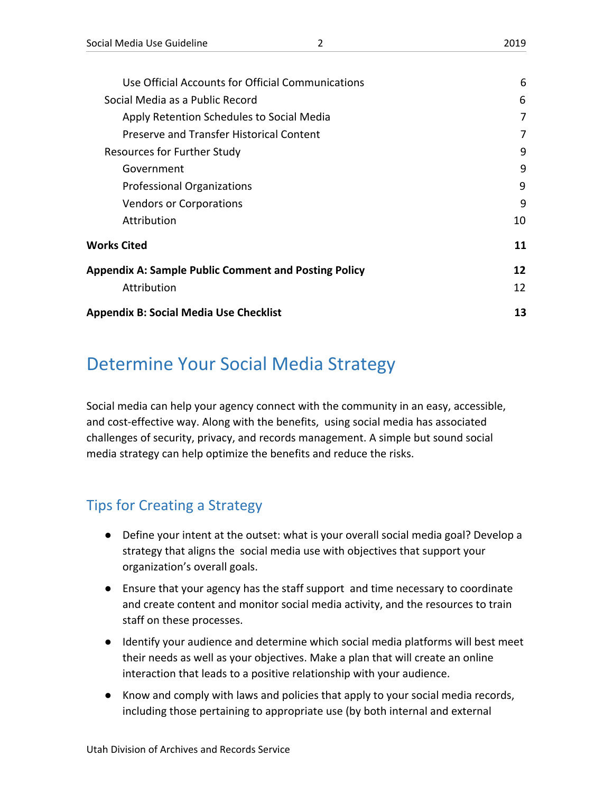| Use Official Accounts for Official Communications           | 6  |
|-------------------------------------------------------------|----|
| Social Media as a Public Record                             | 6  |
| Apply Retention Schedules to Social Media                   | 7  |
| Preserve and Transfer Historical Content                    | 7  |
| Resources for Further Study                                 | 9  |
| Government                                                  | 9  |
| <b>Professional Organizations</b>                           | 9  |
| <b>Vendors or Corporations</b>                              | 9  |
| Attribution                                                 | 10 |
| Works Cited                                                 | 11 |
| <b>Appendix A: Sample Public Comment and Posting Policy</b> | 12 |
| Attribution                                                 | 12 |
| <b>Appendix B: Social Media Use Checklist</b>               | 13 |
|                                                             |    |

# <span id="page-1-0"></span>Determine Your Social Media Strategy

Social media can help your agency connect with the community in an easy, accessible, and cost-effective way. Along with the benefits, using social media has associated challenges of security, privacy, and records management. A simple but sound social media strategy can help optimize the benefits and reduce the risks.

# <span id="page-1-1"></span>Tips for Creating a Strategy

- Define your intent at the outset: what is your overall social media goal? Develop a strategy that aligns the social media use with objectives that support your organization's overall goals.
- Ensure that your agency has the staff support and time necessary to coordinate and create content and monitor social media activity, and the resources to train staff on these processes.
- Identify your audience and determine which social media platforms will best meet their needs as well as your objectives. Make a plan that will create an online interaction that leads to a positive relationship with your audience.
- Know and comply with laws and policies that apply to your social media records, including those pertaining to appropriate use (by both internal and external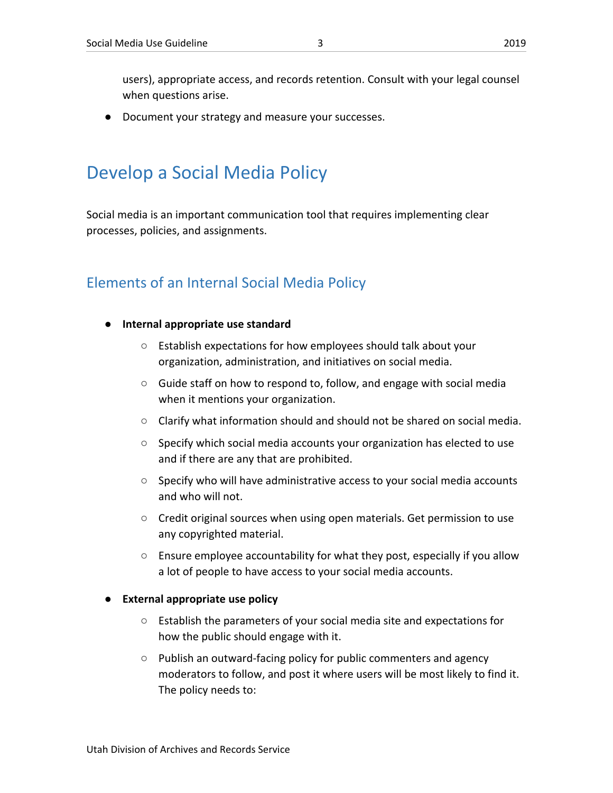● Document your strategy and measure your successes.

# <span id="page-2-0"></span>Develop a Social Media Policy

Social media is an important communication tool that requires implementing clear processes, policies, and assignments.

## <span id="page-2-1"></span>Elements of an Internal Social Media Policy

- <span id="page-2-2"></span>**● Internal appropriate use standard**
	- Establish expectations for how employees should talk about your organization, administration, and initiatives on social media.
	- Guide staff on how to respond to, follow, and engage with social media when it mentions your organization.
	- $\circ$  Clarify what information should and should not be shared on social media.
	- Specify which social media accounts your organization has elected to use and if there are any that are prohibited.
	- Specify who will have administrative access to your social media accounts and who will not.
	- Credit original sources when using open materials. Get permission to use any copyrighted material.
	- Ensure employee accountability for what they post, especially if you allow a lot of people to have access to your social media accounts.

#### <span id="page-2-3"></span>**External appropriate use policy**

- Establish the parameters of your social media site and expectations for how the public should engage with it.
- Publish an outward-facing policy for public commenters and agency moderators to follow, and post it where users will be most likely to find it. The policy needs to: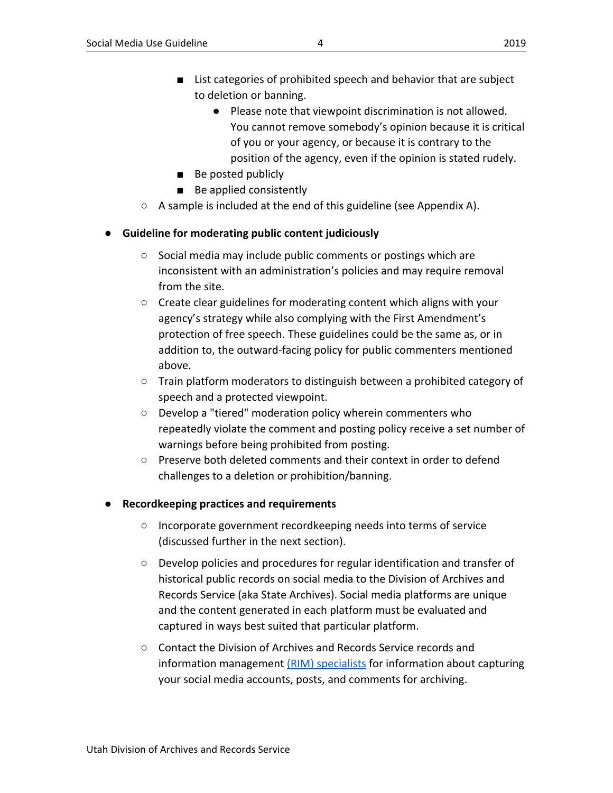- List categories of prohibited speech and behavior that are subject to deletion or banning.
	- Please note that viewpoint discrimination is not allowed. You cannot remove somebody's opinion because it is critical of you or your agency, or because it is contrary to the position of the agency, even if the opinion is stated rudely.
- Be posted publicly
- Be applied consistently
- $\circ$  A sample is included at the end of this guideline (see Appendix A).

#### <span id="page-3-0"></span>**● Guideline for moderating public content judiciously**

- Social media may include public comments or postings which are inconsistent with an administration's policies and may require removal from the site.
- Create clear guidelines for moderating content which aligns with your agency's strategy while also complying with the First Amendment's protection of free speech. These guidelines could be the same as, or in addition to, the outward-facing policy for public commenters mentioned above.
- Train platform moderators to distinguish between a prohibited category of speech and a protected viewpoint.
- Develop a "tiered" moderation policy wherein commenters who repeatedly violate the comment and posting policy receive a set number of warnings before being prohibited from posting.
- $\circ$  Preserve both deleted comments and their context in order to defend challenges to a deletion or prohibition/banning.

#### <span id="page-3-1"></span>**● Recordkeeping practices and requirements**

- Incorporate government recordkeeping needs into terms of service (discussed further in the next section).
- Develop policies and procedures for regular identification and transfer of historical public records on social media to the Division of Archives and Records Service (aka State Archives). Social media platforms are unique and the content generated in each platform must be evaluated and captured in ways best suited that particular platform.
- Contact the Division of Archives and Records Service records and information management [\(RIM\) specialists](mailto:recordsmanagement@utah.gov) for information about capturing your social media accounts, posts, and comments for archiving.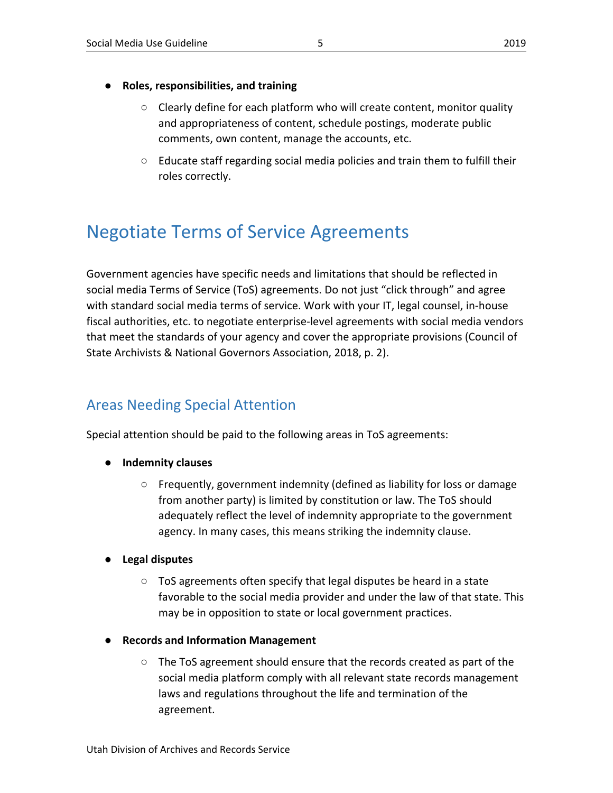#### <span id="page-4-0"></span>**● Roles, responsibilities, and training**

- $\circ$  Clearly define for each platform who will create content, monitor quality and appropriateness of content, schedule postings, moderate public comments, own content, manage the accounts, etc.
- $\circ$  Educate staff regarding social media policies and train them to fulfill their roles correctly.

# <span id="page-4-1"></span>Negotiate Terms of Service Agreements

Government agencies have specific needs and limitations that should be reflected in social media Terms of Service (ToS) agreements. Do not just "click through" and agree with standard social media terms of service. Work with your IT, legal counsel, in-house fiscal authorities, etc. to negotiate enterprise-level agreements with social media vendors that meet the standards of your agency and cover the appropriate provisions (Council of State Archivists & National Governors Association, 2018, p. 2).

# <span id="page-4-2"></span>Areas Needing Special Attention

Special attention should be paid to the following areas in ToS agreements:

- <span id="page-4-3"></span>**● Indemnity clauses**
	- Frequently, government indemnity (defined as liability for loss or damage from another party) is limited by constitution or law. The ToS should adequately reflect the level of indemnity appropriate to the government agency. In many cases, this means striking the indemnity clause.

#### <span id="page-4-4"></span>**● Legal disputes**

- $\circ$  ToS agreements often specify that legal disputes be heard in a state favorable to the social media provider and under the law of that state. This may be in opposition to state or local government practices.
- <span id="page-4-5"></span>**● Records and Information Management**
	- The ToS agreement should ensure that the records created as part of the social media platform comply with all relevant state records management laws and regulations throughout the life and termination of the agreement.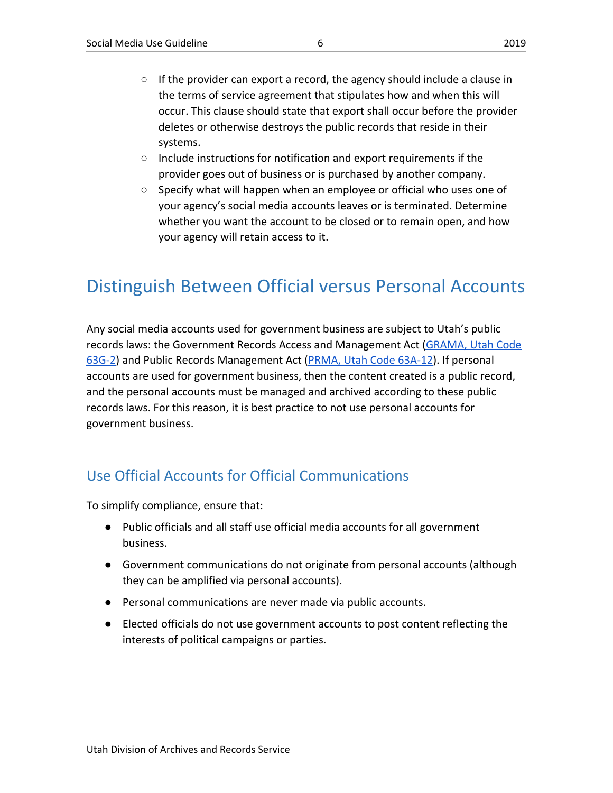- $\circ$  If the provider can export a record, the agency should include a clause in the terms of service agreement that stipulates how and when this will occur. This clause should state that export shall occur before the provider deletes or otherwise destroys the public records that reside in their systems.
- Include instructions for notification and export requirements if the provider goes out of business or is purchased by another company.
- $\circ$  Specify what will happen when an employee or official who uses one of your agency's social media accounts leaves or is terminated. Determine whether you want the account to be closed or to remain open, and how your agency will retain access to it.

# <span id="page-5-0"></span>Distinguish Between Official versus Personal Accounts

Any social media accounts used for government business are subject to Utah's public records laws: the Government Records Access and Management Act [\(GRAMA, Utah Code](https://le.utah.gov/xcode/Title63G/Chapter2/63G-2.html?v=C63G-2_1800010118000101) [63G-2\)](https://le.utah.gov/xcode/Title63G/Chapter2/63G-2.html?v=C63G-2_1800010118000101) and Public Records Management Act ([PRMA, Utah Code 63A-12\)](https://le.utah.gov/xcode/Title63A/Chapter12/63A-12.html). If personal accounts are used for government business, then the content created is a public record, and the personal accounts must be managed and archived according to these public records laws. For this reason, it is best practice to not use personal accounts for government business.

## <span id="page-5-1"></span>Use Official Accounts for Official Communications

To simplify compliance, ensure that:

- Public officials and all staff use official media accounts for all government business.
- Government communications do not originate from personal accounts (although they can be amplified via personal accounts).
- Personal communications are never made via public accounts.
- Elected officials do not use government accounts to post content reflecting the interests of political campaigns or parties.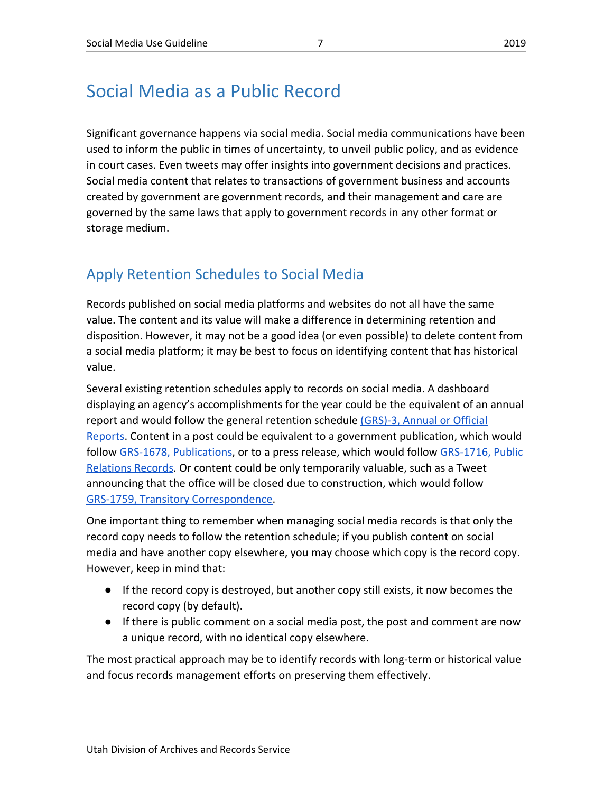# <span id="page-6-0"></span>Social Media as a Public Record

Significant governance happens via social media. Social media communications have been used to inform the public in times of uncertainty, to unveil public policy, and as evidence in court cases. Even tweets may offer insights into government decisions and practices. Social media content that relates to transactions of government business and accounts created by government are government records, and their management and care are governed by the same laws that apply to government records in any other format or storage medium.

## <span id="page-6-1"></span>Apply Retention Schedules to Social Media

Records published on social media platforms and websites do not all have the same value. The content and its value will make a difference in determining retention and disposition. However, it may not be a good idea (or even possible) to delete content from a social media platform; it may be best to focus on identifying content that has historical value.

Several existing retention schedules apply to records on social media. A dashboard displaying an agency's accomplishments for the year could be the equivalent of an annual report and would follow the general retention schedule [\(GRS\)-3, Annual or Official](https://axaemarchives.utah.gov/grsdetail.php?fq=grsItemRecordId:21199) [Reports](https://axaemarchives.utah.gov/grsdetail.php?fq=grsItemRecordId:21199). Content in a post could be equivalent to a government publication, which would follow [GRS-1678, Publications](https://axaemarchives.utah.gov/grsdetail.php?fq=grsItemRecordId:21140), or to a press release, which would follow [GRS-1716, Public](https://axaemarchives.utah.gov/grsdetail.php?fq=grsItemRecordId:1716) [Relations Records](https://axaemarchives.utah.gov/grsdetail.php?fq=grsItemRecordId:1716). Or content could be only temporarily valuable, such as a Tweet announcing that the office will be closed due to construction, which would follow [GRS-1759, Transitory Correspondence](https://axaemarchives.utah.gov/grsdetail.php?fq=grsItemRecordId:21218).

One important thing to remember when managing social media records is that only the record copy needs to follow the retention schedule; if you publish content on social media and have another copy elsewhere, you may choose which copy is the record copy. However, keep in mind that:

- If the record copy is destroyed, but another copy still exists, it now becomes the record copy (by default).
- If there is public comment on a social media post, the post and comment are now a unique record, with no identical copy elsewhere.

The most practical approach may be to identify records with long-term or historical value and focus records management efforts on preserving them effectively.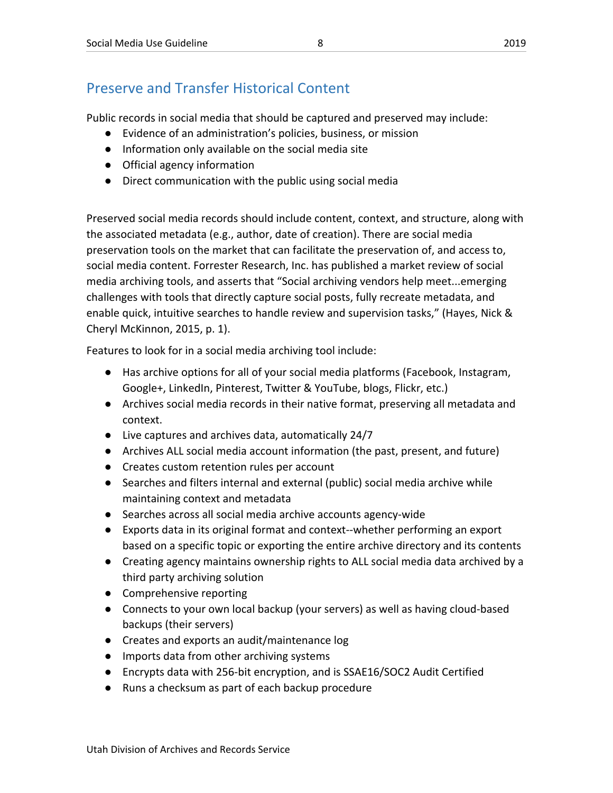# <span id="page-7-0"></span>Preserve and Transfer Historical Content

Public records in social media that should be captured and preserved may include:

- Evidence of an administration's policies, business, or mission
- Information only available on the social media site
- Official agency information
- Direct communication with the public using social media

Preserved social media records should include content, context, and structure, along with the associated metadata (e.g., author, date of creation). There are social media preservation tools on the market that can facilitate the preservation of, and access to, social media content. Forrester Research, Inc. has published a market review of social media archiving tools, and asserts that "Social archiving vendors help meet...emerging challenges with tools that directly capture social posts, fully recreate metadata, and enable quick, intuitive searches to handle review and supervision tasks," (Hayes, Nick & Cheryl McKinnon, 2015, p. 1).

Features to look for in a social media archiving tool include:

- Has archive options for all of your social media platforms (Facebook, Instagram, Google+, LinkedIn, Pinterest, Twitter & YouTube, blogs, Flickr, etc.)
- Archives social media records in their native format, preserving all metadata and context.
- Live captures and archives data, automatically 24/7
- Archives ALL social media account information (the past, present, and future)
- Creates custom retention rules per account
- Searches and filters internal and external (public) social media archive while maintaining context and metadata
- Searches across all social media archive accounts agency-wide
- Exports data in its original format and context--whether performing an export based on a specific topic or exporting the entire archive directory and its contents
- Creating agency maintains ownership rights to ALL social media data archived by a third party archiving solution
- Comprehensive reporting
- Connects to your own local backup (your servers) as well as having cloud-based backups (their servers)
- Creates and exports an audit/maintenance log
- Imports data from other archiving systems
- Encrypts data with 256-bit encryption, and is SSAE16/SOC2 Audit Certified
- Runs a checksum as part of each backup procedure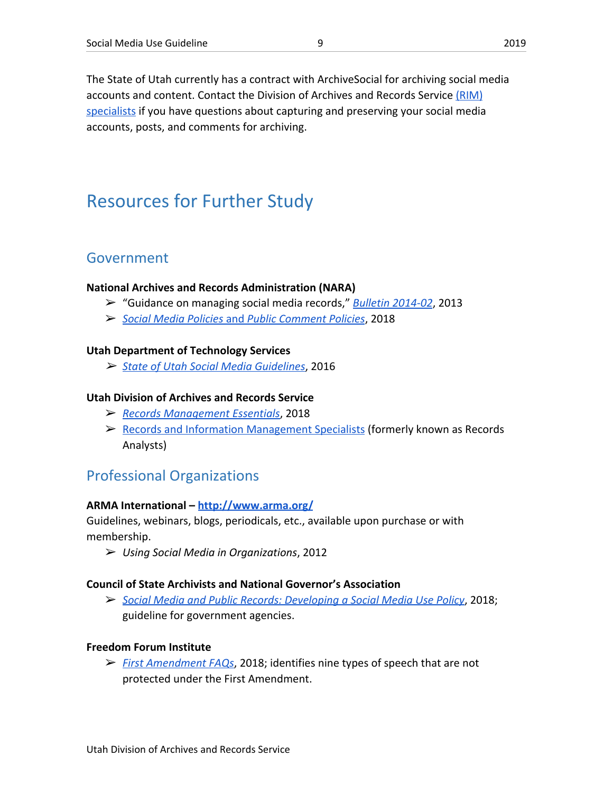The State of Utah currently has a contract with ArchiveSocial for archiving social media accounts and content. Contact the Division of Archives and Records Service [\(RIM\)](mailto:recordsmanagement@utah.gov) [specialists](mailto:recordsmanagement@utah.gov) if you have questions about capturing and preserving your social media accounts, posts, and comments for archiving.

# <span id="page-8-0"></span>Resources for Further Study

#### <span id="page-8-1"></span>Government

#### **National Archives and Records Administration (NARA)**

- ➢ "Guidance on managing social media records," *[Bulletin 2014-02](https://www.archives.gov/records-mgmt/bulletins/2014/2014-02.html#purpose)*, 2013
- ➢ *[Social Media Policies](https://www.archives.gov/social-media/policies)* [and](https://www.archives.gov/social-media/policies) *[Public Comment Policies](https://www.archives.gov/social-media/policies)*, 2018

#### **Utah Department of Technology Services**

➢ *[State of Utah Social Media Guidelines](https://dts.utah.gov/standard/state-of-utah-social-media-guidelines)*, 2016

#### **Utah Division of Archives and Records Service**

- ➢ *[Records Management Essentials](https://archives.utah.gov/recordsmanagement/CSS/rm-essentials.html)*, 2018
- ➢ [Records and Information Management Specialists](https://archives.utah.gov/recordsmanagement/records-analysts.html) (formerly known as Records Analysts)

#### <span id="page-8-2"></span>Professional Organizations

#### **ARMA International – <http://www.arma.org/>**

Guidelines, webinars, blogs, periodicals, etc., available upon purchase or with membership.

➢ *Using Social Media in Organizations*, 2012

#### **Council of State Archivists and National Governor's Association**

➢ *[Social Media and Public Records: Developing a Social Media Use Policy](https://www.statearchivists.org/files/2415/4265/8810/SocialMediaAndPublicRecords_2018.pdf)*, 2018; guideline for government agencies.

#### **Freedom Forum Institute**

➢ *[First Amendment FAQs](https://www.freedomforuminstitute.org/first-amendment-center/first-amendment-faq/)*, 2018; identifies nine types of speech that are not protected under the First Amendment.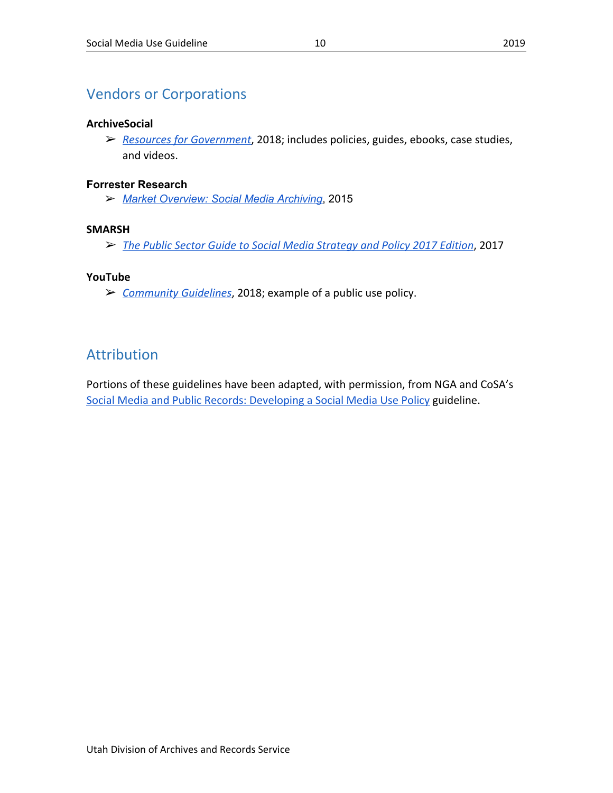## <span id="page-9-0"></span>Vendors or Corporations

#### **ArchiveSocial**

➢ *[Resources for Government](https://archivesocial.com/social-media-resources-for-government/)*, 2018; includes policies, guides, ebooks, case studies, and videos.

#### **Forrester Research**

➢ *Market [Overview:](https://www.forrester.com/report/Market+Overview+Social+Media+Archiving/-/E-RES117533) Social Media Archiving*, 2015

#### **SMARSH**

➢ *[The Public Sector Guide to Social Media Strategy and Policy 2017 Edition](https://www.smarsh.com/guides/public-sector-guide-social-media-strategy-policy-2017-edition)*, 2017

#### **YouTube**

➢ *[Community Guidelines](https://www.youtube.com/yt/about/policies/#community-guidelines)*, 2018; example of a public use policy.

### <span id="page-9-1"></span>Attribution

Portions of these guidelines have been adapted, with permission, from NGA and CoSA's [Social Media and Public Records: Developing a Social Media Use Policy](https://www.statearchivists.org/files/2415/4265/8810/SocialMediaAndPublicRecords_2018.pdf) guideline.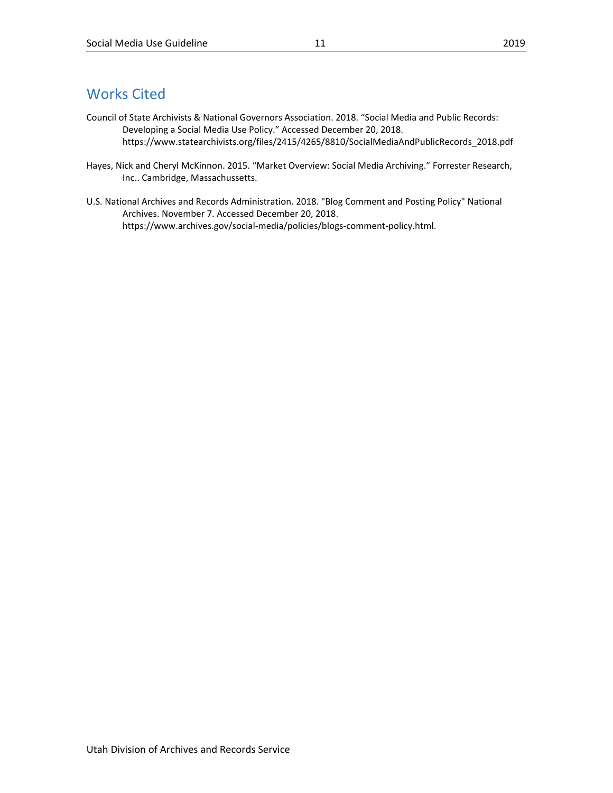### <span id="page-10-0"></span>Works Cited

- Council of State Archivists & National Governors Association. 2018. "Social Media and Public Records: Developing a Social Media Use Policy." Accessed December 20, 2018. https://www.statearchivists.org/files/2415/4265/8810/SocialMediaAndPublicRecords\_2018.pdf
- Hayes, Nick and Cheryl McKinnon. 2015. "Market Overview: Social Media Archiving." Forrester Research, Inc.. Cambridge, Massachussetts.
- U.S. National Archives and Records Administration. 2018. "Blog Comment and Posting Policy" National Archives. November 7. Accessed December 20, 2018. https://www.archives.gov/social-media/policies/blogs-comment-policy.html.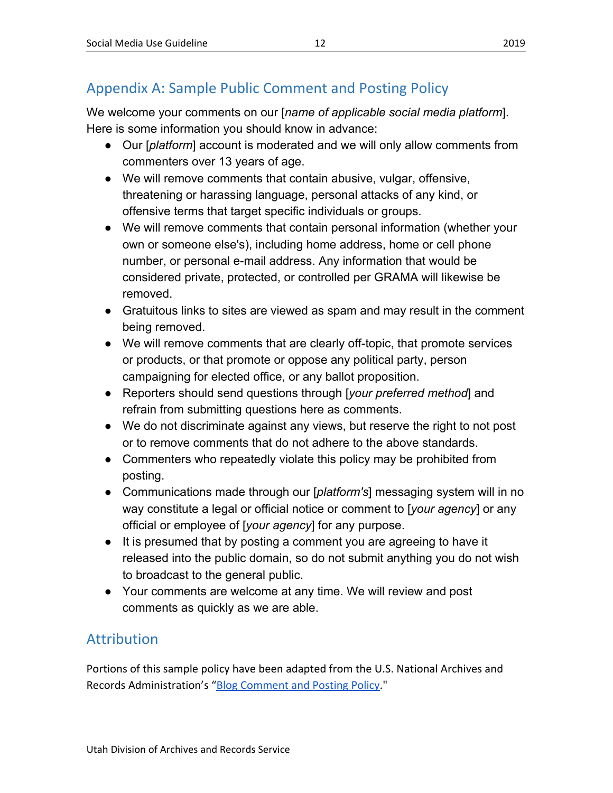# <span id="page-11-0"></span>Appendix A: Sample Public Comment and Posting Policy

We welcome your comments on our [*name of applicable social media platform*]. Here is some information you should know in advance:

- Our [*platform*] account is moderated and we will only allow comments from commenters over 13 years of age.
- We will remove comments that contain abusive, vulgar, offensive, threatening or harassing language, personal attacks of any kind, or offensive terms that target specific individuals or groups.
- We will remove comments that contain personal information (whether your own or someone else's), including home address, home or cell phone number, or personal e-mail address. Any information that would be considered private, protected, or controlled per GRAMA will likewise be removed.
- Gratuitous links to sites are viewed as spam and may result in the comment being removed.
- We will remove comments that are clearly off-topic, that promote services or products, or that promote or oppose any political party, person campaigning for elected office, or any ballot proposition.
- Reporters should send questions through [*your preferred method*] and refrain from submitting questions here as comments.
- We do not discriminate against any views, but reserve the right to not post or to remove comments that do not adhere to the above standards.
- Commenters who repeatedly violate this policy may be prohibited from posting.
- Communications made through our [*platform's*] messaging system will in no way constitute a legal or official notice or comment to [*your agency*] or any official or employee of [*your agency*] for any purpose.
- It is presumed that by posting a comment you are agreeing to have it released into the public domain, so do not submit anything you do not wish to broadcast to the general public.
- Your comments are welcome at any time. We will review and post comments as quickly as we are able.

# <span id="page-11-1"></span>Attribution

Portions of this sample policy have been adapted from the U.S. National Archives and Records Administration's ["Blog Comment and Posting Policy.](https://www.archives.gov/social-media/policies/blogs-comment-policy.html)"